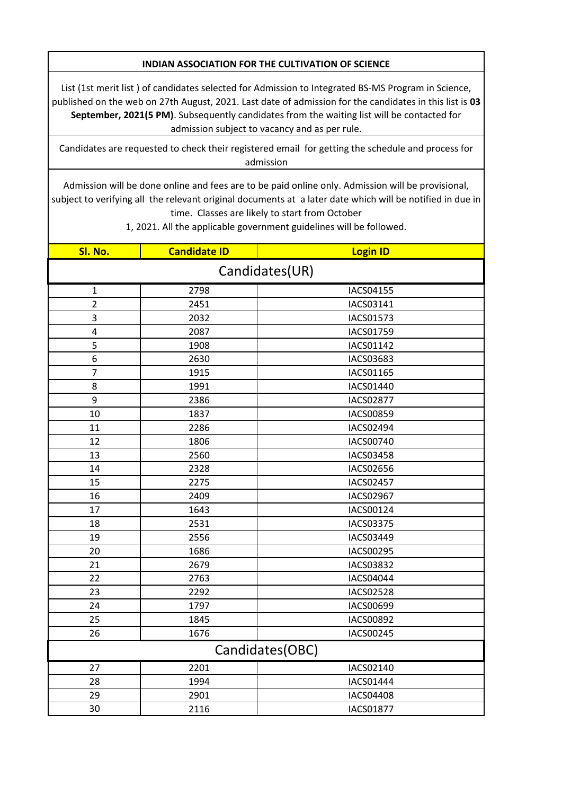## **INDIAN ASSOCIATION FOR THE CULTIVATION OF SCIENCE**

List (1st merit list ) of candidates selected for Admission to Integrated BS-MS Program in Science, published on the web on 27th August, 2021. Last date of admission for the candidates in this list is **03 September, 2021(5 PM)**. Subsequently candidates from the waiting list will be contacted for admission subject to vacancy and as per rule.

Candidates are requested to check their registered email for getting the schedule and process for admission

Admission will be done online and fees are to be paid online only. Admission will be provisional, subject to verifying all the relevant original documents at a later date which will be notified in due in time. Classes are likely to start from October

1, 2021. All the applicable government guidelines will be followed.

| Sl. No.         | <b>Candidate ID</b> | <b>Login ID</b>  |
|-----------------|---------------------|------------------|
| Candidates(UR)  |                     |                  |
| $\mathbf{1}$    | 2798                | IACS04155        |
| $\overline{2}$  | 2451                | IACS03141        |
| 3               | 2032                | IACS01573        |
| 4               | 2087                | IACS01759        |
| 5               | 1908                | IACS01142        |
| 6               | 2630                | IACS03683        |
| $\overline{7}$  | 1915                | IACS01165        |
| 8               | 1991                | IACS01440        |
| 9               | 2386                | <b>IACS02877</b> |
| 10              | 1837                | IACS00859        |
| 11              | 2286                | IACS02494        |
| 12              | 1806                | IACS00740        |
| 13              | 2560                | IACS03458        |
| 14              | 2328                | IACS02656        |
| 15              | 2275                | IACS02457        |
| 16              | 2409                | IACS02967        |
| 17              | 1643                | IACS00124        |
| 18              | 2531                | IACS03375        |
| 19              | 2556                | IACS03449        |
| 20              | 1686                | IACS00295        |
| 21              | 2679                | IACS03832        |
| 22              | 2763                | IACS04044        |
| 23              | 2292                | <b>IACS02528</b> |
| 24              | 1797                | IACS00699        |
| 25              | 1845                | IACS00892        |
| 26              | 1676                | IACS00245        |
| Candidates(OBC) |                     |                  |
| 27              | 2201                | IACS02140        |
| 28              | 1994                | IACS01444        |
| 29              | 2901                | IACS04408        |
| 30              | 2116                | IACS01877        |